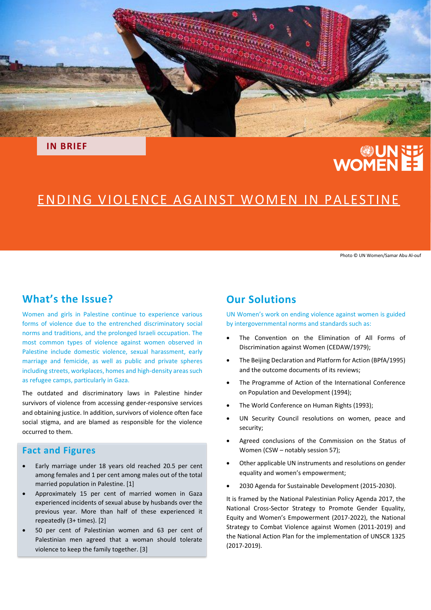

**IN BRIEF**

# **UNNET**<br>EE WOMEN

## ENDING VIOLENCE AGAINST WOMEN IN PALESTINE

Photo © UN Women/Samar Abu Al-ouf

## **What's the Issue?**

Women and girls in Palestine continue to experience various forms of violence due to the entrenched discriminatory social norms and traditions, and the prolonged Israeli occupation. The most common types of violence against women observed in Palestine include domestic violence, sexual harassment, early marriage and femicide, as well as public and private spheres including streets, workplaces, homes and high-density areas such as refugee camps, particularly in Gaza.

The outdated and discriminatory laws in Palestine hinder survivors of violence from accessing gender-responsive services and obtaining justice. In addition, survivors of violence often face social stigma, and are blamed as responsible for the violence occurred to them.

## **Fact and Figures**

- Early marriage under 18 years old reached 20.5 per cent among females and 1 per cent among males out of the total married population in Palestine. [1]
- Approximately 15 per cent of married women in Gaza experienced incidents of sexual abuse by husbands over the previous year. More than half of these experienced it repeatedly (3+ times). [2]
- 50 per cent of Palestinian women and 63 per cent of Palestinian men agreed that a woman should tolerate violence to keep the family together. [3]

## **Our Solutions**

UN Women's work on ending violence against women is guided by intergovernmental norms and standards such as:

- The Convention on the Elimination of All Forms of Discrimination against Women (CEDAW/1979);
- The Beijing Declaration and Platform for Action (BPfA/1995) and the outcome documents of its reviews;
- The Programme of Action of the International Conference on Population and Development (1994);
- The World Conference on Human Rights (1993);
- UN Security Council resolutions on women, peace and security;
- Agreed conclusions of the Commission on the Status of Women (CSW – notably session 57);
- Other applicable UN instruments and resolutions on gender equality and women's empowerment;
- 2030 Agenda for Sustainable Development (2015-2030).

It is framed by the National Palestinian Policy Agenda 2017, the National Cross-Sector Strategy to Promote Gender Equality, Equity and Women's Empowerment (2017-2022), the National Strategy to Combat Violence against Women (2011-2019) and the National Action Plan for the implementation of UNSCR 1325 (2017-2019).